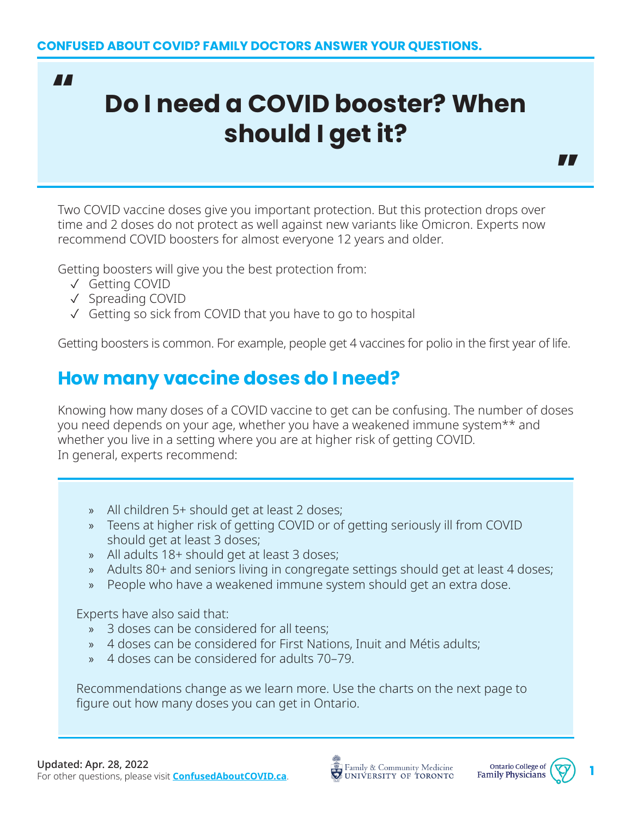"

# **Do I need a COVID booster? When should I get it?**

Two COVID vaccine doses give you important protection. But this protection drops over time and 2 doses do not protect as well against new variants like Omicron. Experts now recommend COVID boosters for almost everyone 12 years and older.

Getting boosters will give you the best protection from:

- ✓ Getting COVID
- ✓ Spreading COVID
- ✓ Getting so sick from COVID that you have to go to hospital

Getting boosters is common. For example, people get 4 vaccines for polio in the first year of life.

### **How many vaccine doses do I need?**

Knowing how many doses of a COVID vaccine to get can be confusing. The number of doses you need depends on your age, whether you have a weakened immune system\*\* and whether you live in a setting where you are at higher risk of getting COVID. In general, experts recommend:

- » All children 5+ should get at least 2 doses;
- » Teens at higher risk of getting COVID or of getting seriously ill from COVID should get at least 3 doses;
- » All adults 18+ should get at least 3 doses;
- » Adults 80+ and seniors living in congregate settings should get at least 4 doses;
- » People who have a weakened immune system should get an extra dose.

Experts have also said that:

- » 3 doses can be considered for all teens;
- » 4 doses can be considered for First Nations, Inuit and Métis adults;
- » 4 doses can be considered for adults 70–79.

Recommendations change as we learn more. Use the charts on the next page to figure out how many doses you can get in Ontario.



 $\blacksquare$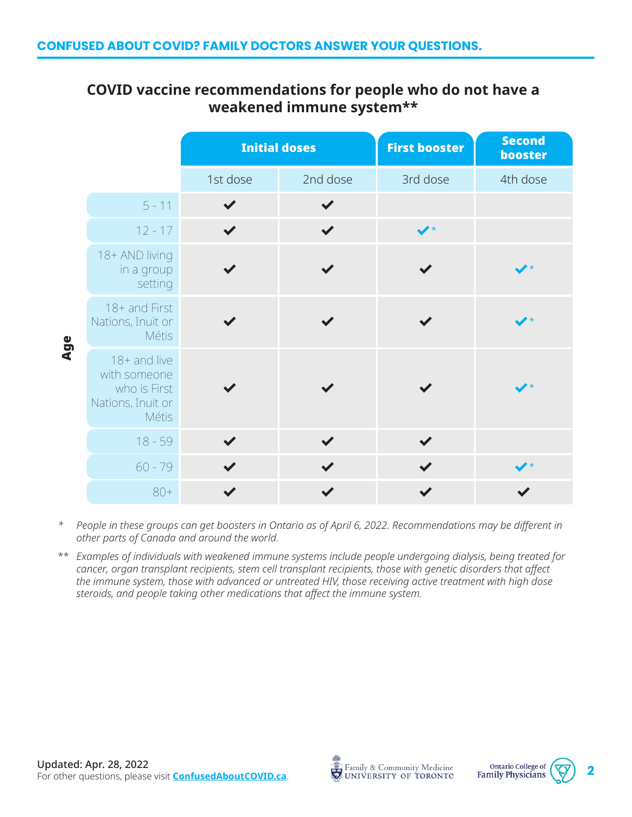#### **COVID vaccine recommendations for people who do not have a weakened immune system\*\***

|     |                                                                                   | <b>Initial doses</b> |              | <b>First booster</b>   | <b>Second</b><br>booster |
|-----|-----------------------------------------------------------------------------------|----------------------|--------------|------------------------|--------------------------|
|     |                                                                                   | 1st dose             | 2nd dose     | 3rd dose               | 4th dose                 |
| Age | $5 - 11$                                                                          |                      |              |                        |                          |
|     | $12 - 17$                                                                         | $\blacktriangledown$ | $\checkmark$ | $\blacktriangledown^*$ |                          |
|     | 18+ AND living<br>in a group<br>setting                                           |                      |              |                        |                          |
|     | 18+ and First<br>Nations, Inuit or<br><b>Métis</b>                                |                      |              |                        |                          |
|     | 18+ and live<br>with someone<br>who is First<br>Nations, Inuit or<br><b>Métis</b> |                      |              |                        |                          |
|     | $18 - 59$                                                                         |                      |              | $\checkmark$           |                          |
|     | $60 - 79$                                                                         |                      |              | $\blacktriangledown$   | $\rightarrow$            |
|     | $80+$                                                                             |                      |              |                        |                          |

- *\* People in these groups can get boosters in Ontario as of April 6, 2022. Recommendations may be different in other parts of Canada and around the world.*
- *Examples of individuals with weakened immune systems include people undergoing dialysis, being treated for*  \*\**cancer, organ transplant recipients, stem cell transplant recipients, those with genetic disorders that affect the immune system, those with advanced or untreated HIV, those receiving active treatment with high dose steroids, and people taking other medications that affect the immune system.*



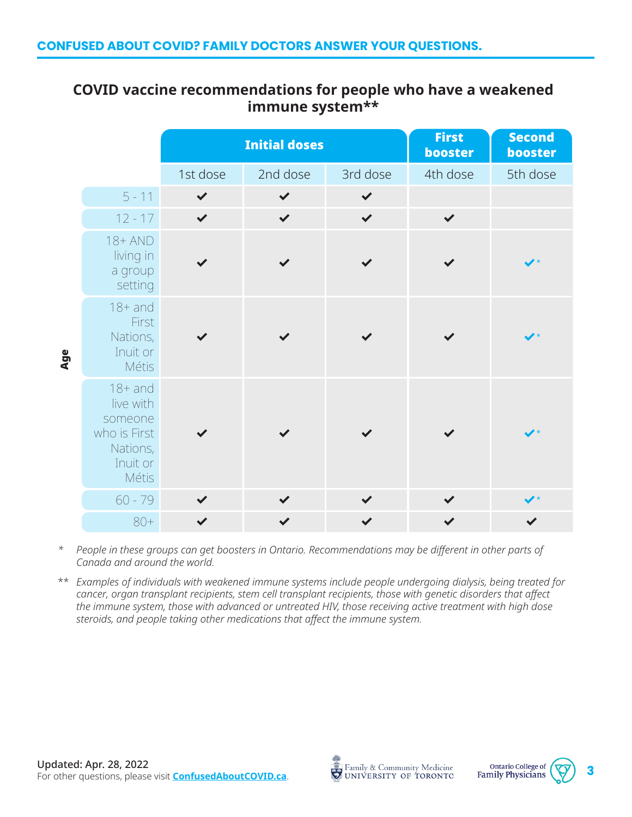#### **COVID vaccine recommendations for people who have a weakened immune system\*\***

|     |                                                                                           | <b>Initial doses</b> |              |              | <b>First</b><br>booster | <b>Second</b><br>booster |
|-----|-------------------------------------------------------------------------------------------|----------------------|--------------|--------------|-------------------------|--------------------------|
|     |                                                                                           | 1st dose             | 2nd dose     | 3rd dose     | 4th dose                | 5th dose                 |
| Age | $5 - 11$                                                                                  | $\checkmark$         | $\checkmark$ | $\checkmark$ |                         |                          |
|     | $12 - 17$                                                                                 | $\checkmark$         | $\checkmark$ | $\checkmark$ | $\checkmark$            |                          |
|     | $18+AND$<br>living in<br>a group<br>setting                                               |                      |              |              |                         |                          |
|     | $18+$ and<br>First<br>Nations,<br>Inuit or<br><b>Métis</b>                                |                      |              |              |                         |                          |
|     | $18+$ and<br>live with<br>someone<br>who is First<br>Nations,<br>Inuit or<br><b>Métis</b> |                      |              |              |                         |                          |
|     | $60 - 79$                                                                                 |                      |              |              |                         |                          |
|     | $80+$                                                                                     | $\checkmark$         |              |              |                         |                          |

*\* People in these groups can get boosters in Ontario. Recommendations may be different in other parts of Canada and around the world.*

*Examples of individuals with weakened immune systems include people undergoing dialysis, being treated for*  \*\**cancer, organ transplant recipients, stem cell transplant recipients, those with genetic disorders that affect the immune system, those with advanced or untreated HIV, those receiving active treatment with high dose steroids, and people taking other medications that affect the immune system.*



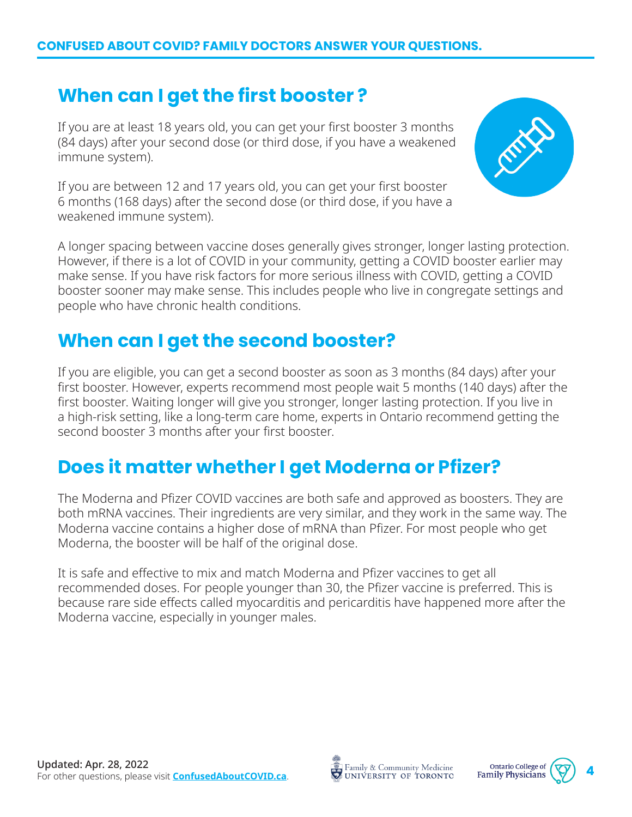#### **When can I get the first booster ?**

If you are at least 18 years old, you can get your first booster 3 months (84 days) after your second dose (or third dose, if you have a weakened immune system).

If you are between 12 and 17 years old, you can get your first booster 6 months (168 days) after the second dose (or third dose, if you have a weakened immune system).



A longer spacing between vaccine doses generally gives stronger, longer lasting protection. However, if there is a lot of COVID in your community, getting a COVID booster earlier may make sense. If you have risk factors for more serious illness with COVID, getting a COVID booster sooner may make sense. This includes people who live in congregate settings and people who have chronic health conditions.

## **When can I get the second booster?**

If you are eligible, you can get a second booster as soon as 3 months (84 days) after your first booster. However, experts recommend most people wait 5 months (140 days) after the first booster. Waiting longer will give you stronger, longer lasting protection. If you live in a high-risk setting, like a long-term care home, experts in Ontario recommend getting the second booster 3 months after your first booster.

#### **Does it matter whether I get Moderna or Pfizer?**

The Moderna and Pfizer COVID vaccines are both safe and approved as boosters. They are both mRNA vaccines. Their ingredients are very similar, and they work in the same way. The Moderna vaccine contains a higher dose of mRNA than Pfizer. For most people who get Moderna, the booster will be half of the original dose.

It is safe and effective to mix and match Moderna and Pfizer vaccines to get all recommended doses. For people younger than 30, the Pfizer vaccine is preferred. This is because rare side effects called myocarditis and pericarditis have happened more after the Moderna vaccine, especially in younger males.